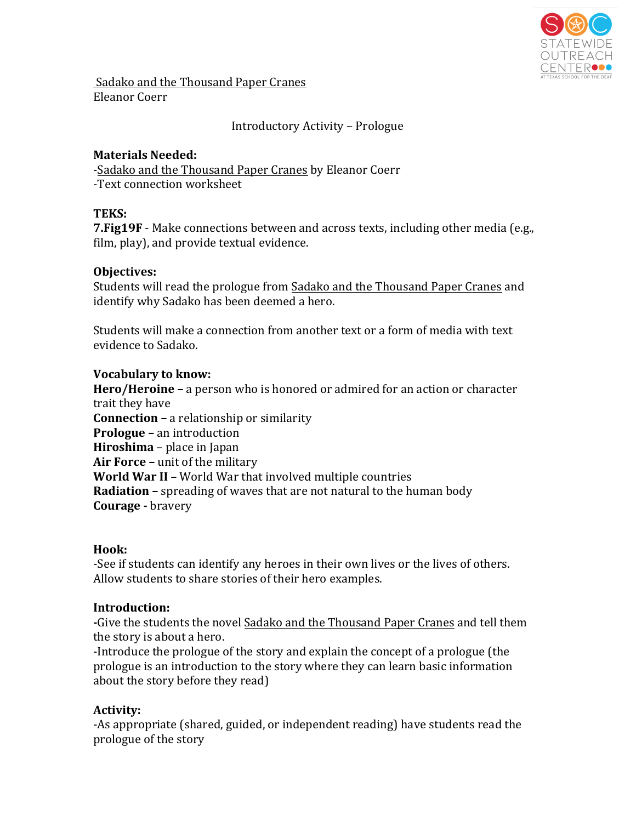

Sadako and the Thousand Paper Cranes Eleanor Coerr

# Introductory Activity – Prologue

## **Materials Needed:**

-Sadako and the Thousand Paper Cranes by Eleanor Coerr -Text connection worksheet

### **TEKS:**

**7. Fig19F** - Make connections between and across texts, including other media (e.g., film, play), and provide textual evidence.

### **Objectives:**

Students will read the prologue from Sadako and the Thousand Paper Cranes and identify why Sadako has been deemed a hero.

Students will make a connection from another text or a form of media with text evidence to Sadako.

### **Vocabulary to know:**

**Hero/Heroine** – a person who is honored or admired for an action or character trait they have **Connection** – a relationship or similarity **Prologue** – an introduction **Hiroshima** – place in Japan **Air Force** – unit of the military **World War II -** World War that involved multiple countries **Radiation** – spreading of waves that are not natural to the human body **Courage** - bravery

### **Hook:**

-See if students can identify any heroes in their own lives or the lives of others. Allow students to share stories of their hero examples.

### **Introduction:**

-Give the students the novel Sadako and the Thousand Paper Cranes and tell them the story is about a hero.

-Introduce the prologue of the story and explain the concept of a prologue (the prologue is an introduction to the story where they can learn basic information about the story before they read)

# Activity:

-As appropriate (shared, guided, or independent reading) have students read the prologue of the story